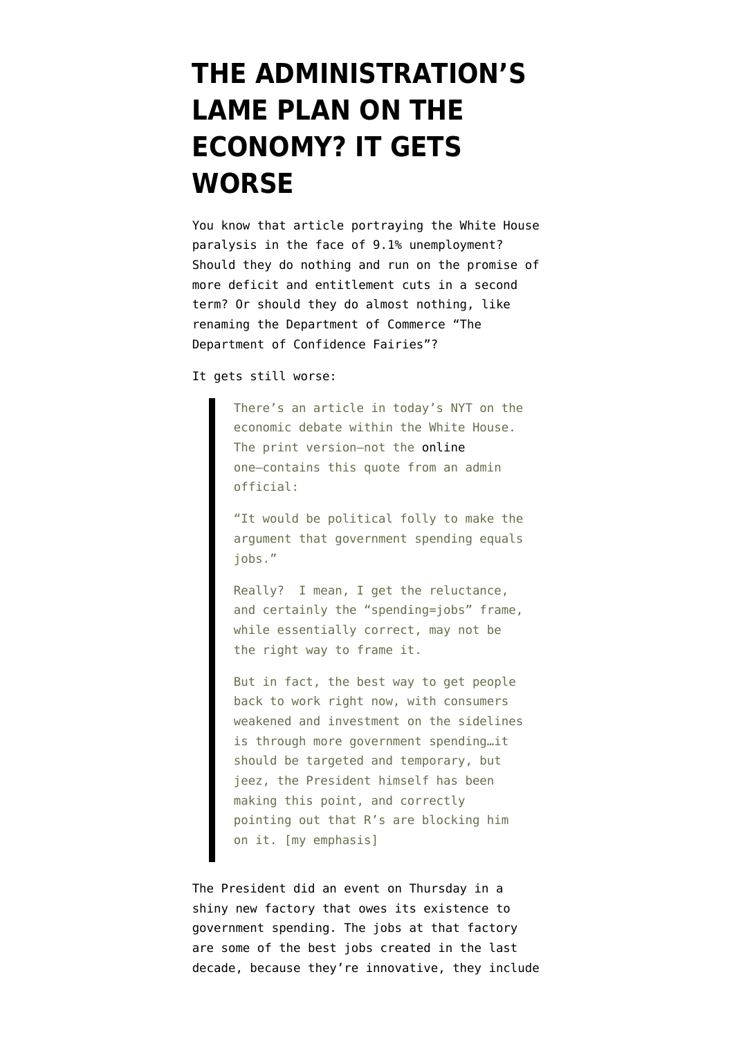## **[THE ADMINISTRATION'S](https://www.emptywheel.net/2011/08/14/the-administrations-lame-plan-on-the-economy-it-gets-worse/) [LAME PLAN ON THE](https://www.emptywheel.net/2011/08/14/the-administrations-lame-plan-on-the-economy-it-gets-worse/) [ECONOMY? IT GETS](https://www.emptywheel.net/2011/08/14/the-administrations-lame-plan-on-the-economy-it-gets-worse/) [WORSE](https://www.emptywheel.net/2011/08/14/the-administrations-lame-plan-on-the-economy-it-gets-worse/)**

You know [that article](https://www.nytimes.com/2011/08/14/us/politics/14econ.html?pagewanted=all) portraying the White House paralysis in the face of 9.1% unemployment? Should they do nothing and run on the promise of more deficit and entitlement cuts in a second term? Or [should they do almost nothing,](http://www.emptywheel.net/2011/08/14/still-more-deficit-reduction-and-department-of-competitiveness/) like renaming the Department of Commerce "The Department of Confidence Fairies"?

It [gets still worse](http://jaredbernsteinblog.com/herein-lies-the-problem/):

There's an article in today's NYT on the economic debate within the White House. The print version—not the [online](http://www.nytimes.com/2011/08/14/us/politics/14econ.html?_r=1&hp=&pagewanted=all) one—contains this quote from an admin official:

"It would be political folly to make the argument that government spending equals jobs."

Really? I mean, I get the reluctance, and certainly the "spending=jobs" frame, while essentially correct, may not be the right way to frame it.

But in fact, the best way to get people back to work right now, with consumers weakened and investment on the sidelines is through more government spending…it should be targeted and temporary, but jeez, the President himself has been making this point, and correctly pointing out that R's are blocking him on it. [my emphasis]

The President did an event on Thursday in a shiny new factory that owes its existence to government spending. The jobs at that factory are some of the best jobs created in the last decade, because they're innovative, they include